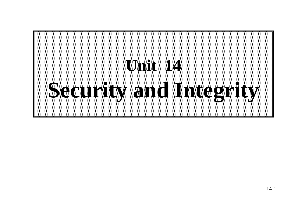# **Unit 14 Security and Integrity and Integrity**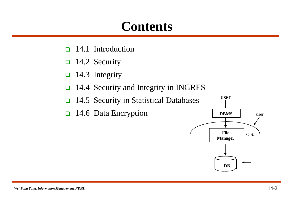#### **Contents**

- 14.1 Introduction
- $\Box$  14.2 Security
- $\Box$  14.3 Integrity
- 14.4 Security and Integrity in INGRES
- 14.5 Security in Statistical Databases
- 14.6 Data Encryption

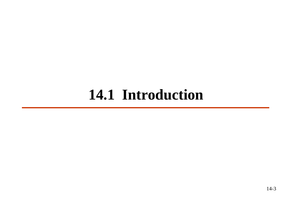### **14.1 Introduction**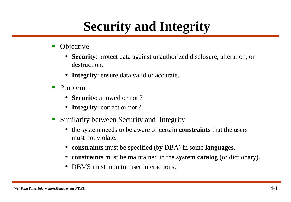### **Security and Integrity**

- Objective
	- **Security**: protect data against unauthorized disclosure, alteration, or destruction.
	- **Integrity**: ensure data valid or accurate.
- **Problem** 
	- **Security**: allowed or not ?
	- **Integrity**: correct or not?
- **Similarity between Security and Integrity** 
	- the system needs to be aware of certain **constraints** that the users must not violate.
	- **constraints** must be specified (by DBA) in some **languages**.
	- **constraints** must be maintained in the **system catalog** (or dictionary).
	- **DBMS** must monitor user interactions.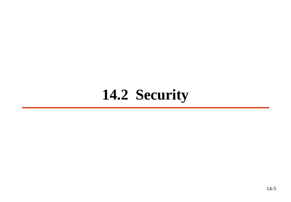### **14.2 Security**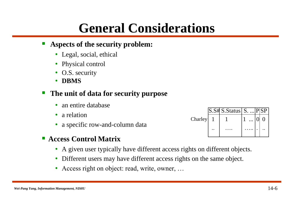#### **General Considerations**

#### **Aspects of the security problem:**

- Legal, social, ethical
- Physical control
- O.S. security
- **DBMS**

#### **The unit of data for security purpose**

- an entire database
- a relation
- a specific row-and-column data
- **Access Control Matrix**
	- A given user typically have different access rights on different objects.
	- Different users may have different access rights on the same object.
	- Access right on object: read, write, owner, ...

|         | S.S# S.Status   S.   P SP |  |  |
|---------|---------------------------|--|--|
| Charley |                           |  |  |
|         |                           |  |  |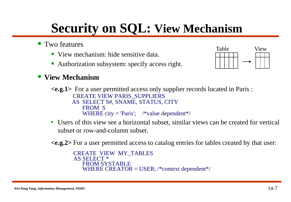### **Security on SQL: View Mechanism**

- Two features
	- View mechanism: hide sensitive data.
	- Authorization subsystem: specify access right.



#### **View Mechanism**

**<e.g.1>** For a user permitted access only supplier records located in Paris : CREATE VIEW PARIS\_SUPPLIERS AS SELECT S#, SNAME, STATUS, CITY FROM S WHERE city = 'Paris';  $\sqrt{\frac{2}{\pi}}$  /\*value dependent\*/

• Users of this view see a horizontal subset, similar views can be created for vertical subset or row-and-column subset.

**<e.g.2>** For a user permitted access to catalog entries for tables created by that user:

```
CREATE VIEW MY_TABLES
AS SELECT *
  FROM SYSTABLE
  WHERE CREATOR = USER; /*context dependent*/
```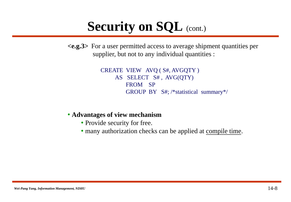#### **Security on SQL** (cont.)

**<e.g.3>** For a user permitted access to average shipment quantities per supplier, but not to any individual quantities :

> CREATE VIEW AVQ ( S#, AVGQTY ) AS SELECT S# , AVG(QTY) FROM SP GROUP BY S#; /\*statistical summary\*/

#### • **Advantages of view mechanism**

- Provide security for free.
- many authorization checks can be applied at compile time.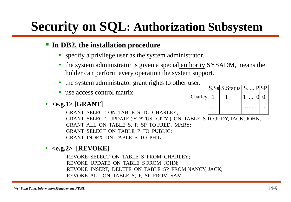### **Security on SQL: Authorization Subsystem**

#### **In DB2, the installation procedure**

- specify a privilege user as the system administrator.
- the system administrator is given a special authority SYSADM, means the holder can perform every operation the system support.
- the system administrator grant rights to other user.
- use access control matrix

#### • **<e.g.1> [GRANT]**

GRANT SELECT ON TABLE S TO CHARLEY; GRANT SELECT, UPDATE ( STATUS, CITY ) ON TABLE S TO JUDY, JACK, JOHN; GRANT ALL ON TABLE S, P, SP TO FRED, MARY; GRANT SELECT ON TABLE P TO PUBLIC; GRANT INDEX ON TABLE S TO PHIL;

#### • **<e.g.2> [REVOKE]**

REVOKE SELECT ON TABLE S FROM CHARLEY; REVOKE UPDATE ON TABLE S FROM JOHN; REVOKE INSERT, DELETE ON TABLE SP FROM NANCY, JACK; REVOKE ALL ON TABLE S, P, SP FROM SAM

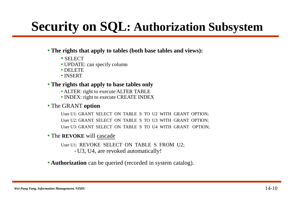### **Security on SQL: Authorization Subsystem**

#### • **The rights that apply to tables (both base tables and views):**

- SELECT
- UPDATE: can specify column
- DELETE
- INSERT

#### • **The rights that apply to base tables only**

- ALTER: right to execute ALTER TABLE
- INDEX: right to execute CREATE INDEX

#### • The GRANT **option**

User U1: GRANT SELECT ON TABLE S TO U2 WITH GRANT OPTION; User U2: GRANT SELECT ON TABLE S TO U3 WITH GRANT OPTION; User U3: GRANT SELECT ON TABLE S TO U4 WITH GRANT OPTION;

#### • The **REVOKE** will cascade

User U1: REVOKE SELECT ON TABLE S FROM U2;

• U3, U4, are revoked automatically!

#### • **Authorization** can be queried (recorded in system catalog).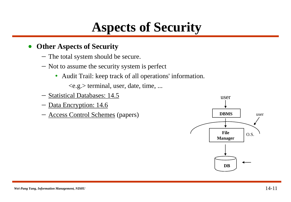#### **Aspects of Security**

#### **Other Aspects of Security**

- The total system should be secure.
- Not to assume the security system is perfect
	- Audit Trail: keep track of all operations' information.

 $\langle e.g. \rangle$  terminal, user, date, time, ...

- [Statistical Databases: 14.5](#page-25-0)
- [Data Encryption: 14.6](#page-40-0)
- Access Control Schemes (papers)

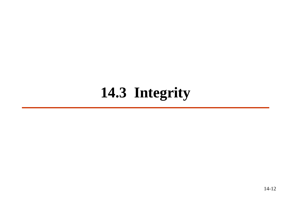### **14.3 Integrity**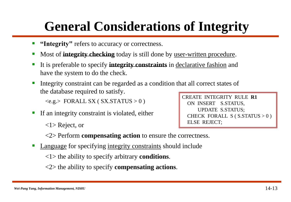### **General Considerations of Integrity**

- **"Integrity"** refers to accuracy or correctness.
- Most of **integrity checking** today is still done by user-written procedure.
- It is preferable to specify **integrity constraints** in declarative fashion and have the system to do the check.
- Integrity constraint can be regarded as a condition that all correct states of the database required to satisfy.

 $\langle e.g. \rangle$  FORALL SX (SX.STATUS  $> 0$ )

**If an integrity constraint is violated, either** 

<1> Reject, or

CREATE INTEGRITY RULE **R1** ON INSERT S.STATUS, UPDATE S.STATUS; CHECK FORALL  $S(S \cdot STATUS > 0)$ ELSE REJECT;

<2> Perform **compensating action** to ensure the correctness.

• Language for specifying integrity constraints should include

<1> the ability to specify arbitrary **conditions**.

<2> the ability to specify **compensating actions**.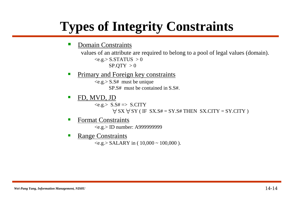### **Types of Integrity Constraints**

Domain Constraints

values of an attribute are required to belong to a pool of legal values (domain).  $\langle e.g. \rangle$  S.STATUS  $> 0$  $SP.$ QTY  $>0$ 

Primary and Foreign key constraints

 $\langle e.g. \rangle$  S.S# must be unique SP.S# must be contained in S.S#.

• FD, MVD, JD

 $\langle e.g. \rangle$  S.S#  $\Rightarrow$  S.CITY  $\bigtriangledown$  SX  $\bigtriangledown$  SY ( IF SX.S# = SY.S# THEN SX.CITY = SY.CITY )

Format Constraints

<e.g.> ID number: A999999999

 Range Constraints  $\langle e.g. \rangle$  SALARY in (  $10,000 \sim 100,000$  ).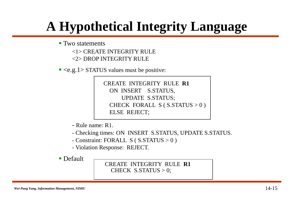### **A Hypothetical Integrity Language**

Two statements

<1> CREATE INTEGRITY RULE <2> DROP INTEGRITY RULE

 $\leq$  <e.g.1> STATUS values must be positive:

CREATE INTEGRITY RULE **R1** ON INSERT S.STATUS, UPDATE S.STATUS; CHECK FORALL  $S(S \cdot STATUS > 0)$ ELSE REJECT;

- Rule name: R1.

- Checking times: ON INSERT S.STATUS, UPDATE S.STATUS.
- Constraint: FORALL S ( S.STATUS > 0 )
- Violation Response: REJECT.

**Default** 

CREATE INTEGRITY RULE **R1** CHECK  $S.\text{STATUS} > 0$ ;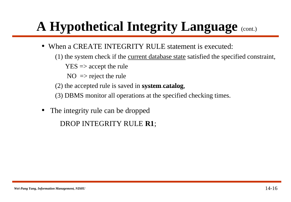- When a CREATE INTEGRITY RULE statement is executed:
	- (1) the system check if the current database state satisfied the specified constraint,

 $YES \Rightarrow accept the rule$ 

 $NO \Rightarrow$  reject the rule

(2) the accepted rule is saved in **system catalog**,

(3) DBMS monitor all operations at the specified checking times.

• The integrity rule can be dropped

DROP INTEGRITY RULE **R1**;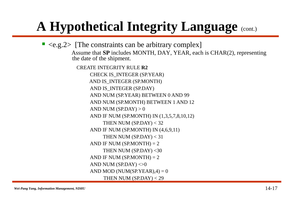$\blacktriangleright$  <e.g.  $2$ > [The constraints can be arbitrary complex] Assume that **SP** includes MONTH, DAY, YEAR, each is CHAR(2), representing the date of the shipment. CREATE INTEGRITY RULE **R2** CHECK IS\_INTEGER (SP.YEAR) AND IS\_INTEGER (SP.MONTH) AND IS INTEGER (SP.DAY) AND NUM (SP.YEAR) BETWEEN 0 AND 99 AND NUM (SP.MONTH) BETWEEN 1 AND 12 AND NUM  $(SP.DAY) > 0$ AND IF NUM (SP.MONTH) IN (1,3,5,7,8,10,12) THEN NUM  $(SP.DAY) < 32$ AND IF NUM (SP.MONTH) IN (4,6,9,11) THEN NUM (SP.DAY) < 31 AND IF NUM  $(SP_MONTH) = 2$ THEN NUM  $(SP.DAY) < 30$ AND IF NUM (SP.MONTH)  $= 2$ AND NUM (SP.DAY)  $\ll 0$ AND MOD (NUM(SP.YEAR), $4$ ) = 0 THEN NUM  $(SP.DAY) < 29$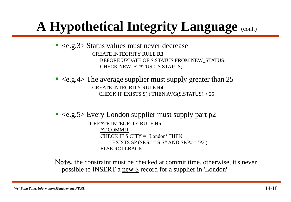$\blacktriangleright$  <e.g.3> Status values must never decrease CREATE INTEGRITY RULE **R3** BEFORE UPDATE OF S.STATUS FROM NEW\_STATUS: CHECK NEW\_STATUS > S.STATUS;

 $\blacktriangleright$  <e.g.4> The average supplier must supply greater than 25 CREATE INTEGRITY RULE **R4** CHECK IF EXISTS  $S( )$  THEN AVG(S.STATUS)  $> 25$ 

 $\blacktriangleright$  <e.g.5> Every London supplier must supply part p2 CREATE INTEGRITY RULE **R5** AT COMMIT : CHECK IF S.CITY = 'London' THEN EXISTS SP (SP.S# =  $S.SH$  AND SP.P# = 'P2') ELSE ROLLBACK;

Note: the constraint must be checked at commit time, otherwise, it's never possible to INSERT a new S record for a supplier in 'London'.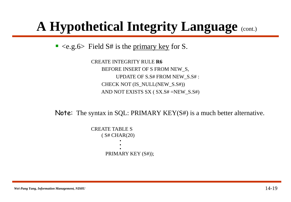$\blacktriangleright$  <e.g.6> Field S# is the primary key for S.

CREATE INTEGRITY RULE **R6** BEFORE INSERT OF S FROM NEW\_S, UPDATE OF S.S# FROM NEW\_S.S# : CHECK NOT (IS\_NULL(NEW\_S.S#)) AND NOT EXISTS SX ( SX.S# =NEW\_S.S#)

Note: The syntax in SQL: PRIMARY KEY(S#) is a much better alternative.

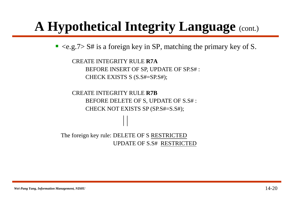$\blacktriangleright$  <e.g.7> S# is a foreign key in SP, matching the primary key of S.

CREATE INTEGRITY RULE **R7A** BEFORE INSERT OF SP, UPDATE OF SP.S# : CHECK EXISTS S (S.S#=SP.S#);

CREATE INTEGRITY RULE **R7B** BEFORE DELETE OF S, UPDATE OF S.S# : CHECK NOT EXISTS SP (SP.S#=S.S#);

The foreign key rule: DELETE OF S RESTRICTED UPDATE OF S.S# RESTRICTED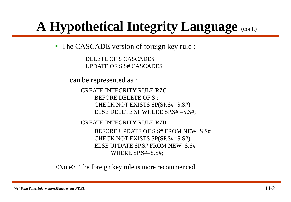• The CASCADE version of <u>foreign key rule</u>:

DELETE OF S CASCADES UPDATE OF S.S# CASCADES

can be represented as :

CREATE INTEGRITY RULE **R7C** BEFORE DELETE OF S : CHECK NOT EXISTS SP(SP.S#=S.S#) ELSE DELETE SP WHERE SP.S# =S.S#;

CREATE INTEGRITY RULE **R7D** BEFORE UPDATE OF S.S# FROM NEW\_S.S# CHECK NOT EXISTS SP(SP.S#=S.S#) ELSE UPDATE SP.S# FROM NEW\_S.S# WHERE SP.S#=S.S#;

<Note> The foreign key rule is more recommenced.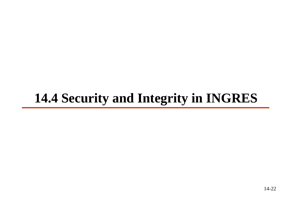### **14.4 Security and Integrity in INGRES**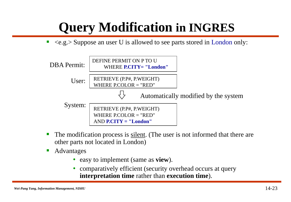### **Query Modification in INGRES**

 $\blacksquare$  <e.g.> Suppose an user U is allowed to see parts stored in London only:



- The modification process is silent. (The user is not informed that there are other parts not located in London)
- **A**dvantages
	- easy to implement (same as **view**).
	- comparatively efficient (security overhead occurs at query **interpretation time** rather than **execution time**).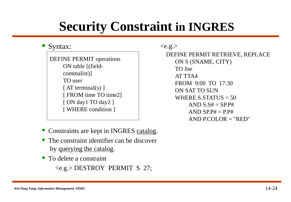### **Security Constraint in INGRES**

#### Syntax:

DEFINE PERMIT operations ON table [(fieldcommalist)] TO user [ $AT$  terminal(s) ] [ FROM time TO time2] [ ON day1 TO day2 ] [ WHERE condition ]

DEFINE PERMIT RETRIEVE, REPLACE ON S (SNAME, CITY) TO Joe AT TTA4 FROM 9:00 TO 17:30 ON SAT TO SUN WHERE S.STATUS < 50 AND  $S.S# = SP.P#$ AND SP.P#  $=$  P.P# AND P.COLOR  $=$  "RED"  $\langle e.g. \rangle$ 

- Constraints are kept in INGRES catalog.
- $\blacksquare$  The constraint identifier can be discover by querying the catalog.
- To delete a constraint

<e.g.> DESTROY PERMIT S 27;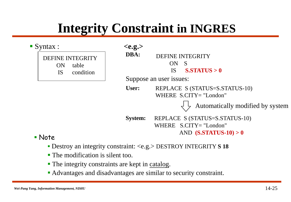### **Integrity Constraint in INGRES**

| $\blacksquare$ Syntax : |                         |
|-------------------------|-------------------------|
|                         | <b>DEFINE INTEGRITY</b> |
| ON                      | table                   |
| IS -                    | condition               |
|                         |                         |

**<e.g.>** DEFINE INTEGRITY ON S IS **S.STATUS > 0** Suppose an user issues: REPLACE S (STATUS=S.STATUS-10) WHERE S.CITY= "London" REPLACE S (STATUS=S.STATUS-10) WHERE S.CITY= "London" AND **(S.STATUS-10) > 0** Automatically modified by system **DBA: User: System:** 

**Note** 

- Destroy an integrity constraint: <e.g.> DESTROY INTEGRITY **S 18**
- **The modification is silent too.**
- The integrity constraints are kept in catalog.
- Advantages and disadvantages are similar to security constraint.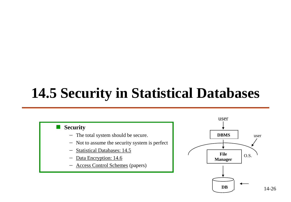### **14.5 Security in Statistical Databases**

#### **Security**

- The total system should be secure.
- Not to assume the security system is perfect
- [Statistical Databases: 14.5](#page-25-0)
- [Data Encryption: 14.6](#page-40-0)
- <span id="page-25-0"></span>Access Control Schemes (papers)



14-26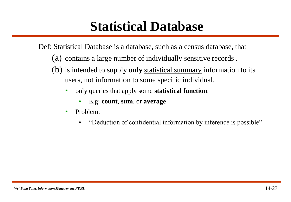#### **Statistical Database**

Def: Statistical Database is a database, such as a census database, that

- (a) contains a large number of individually sensitive records .
- (b) is intended to supply **only** statistical summary information to its users, not information to some specific individual.
	- only queries that apply some **statistical function**.
		- E.g: **count**, **sum**, or **average**
	- Problem:
		- "Deduction of confidential information by inference is possible"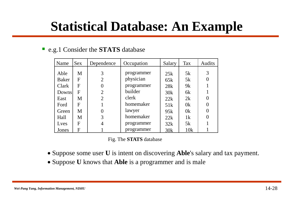#### **Statistical Database: An Example**

#### e.g.1 Consider the **STATS** database

| Name   | <b>Sex</b>   | Dependence     | Occupation | Salary | <b>Tax</b>     | <b>Audits</b> |
|--------|--------------|----------------|------------|--------|----------------|---------------|
|        |              |                |            |        |                |               |
| Able   | M            | 3              | programmer | 25k    | 5k             | 3             |
| Baker  | F            | $\overline{2}$ | physician  | 65k    | 5k             |               |
| Clark  | F            | 0              | programmer | 28k    | 9k             |               |
| Downsl | $\mathbf{F}$ | 2              | builder    | 30k    | 6k             |               |
| East   | M            | $\overline{2}$ | clerk      | 22k    | 2k             |               |
| Ford   | F            |                | homemaker  | 51k    | 0 <sup>k</sup> |               |
| Green  | M            |                | lawyer     | 95k    | 0 <sup>k</sup> |               |
| Hall   | M            | 3              | homemaker  | 22k    | 1k             |               |
| Lyes   | F            |                | programmer | 32k    | 5k             |               |
| Jones  | F            |                | programmer | 30k    | 10k            |               |

#### Fig. The **STATS** database

- Suppose some user **U** is intent on discovering **Able**'s salary and tax payment.
- Suppose **U** knows that **Able** is a programmer and is male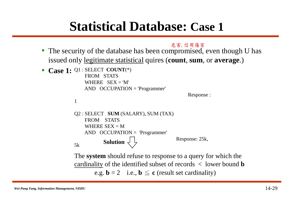#### **Statistical Database: Case 1**

危害, 信用傷害

- The security of the database has been compromised, even though U has issued only legitimate statistical quires (**count**, **sum**, or **average**.)
- **Case 1:** Q1 : SELECT **COUNT**(\*) FROM STATS WHERE  $SEX = 'M'$ AND OCCUPATION = 'Programmer'

```
Response :
```

```
1
```

```
Q2 : SELECT SUM (SALARY), SUM (TAX)
   FROM STATS
   WHERE SEX = MAND OCCUPATION = 'Programmer'
                                     Response: 25k, 
5k Solution \left\{\right.
```
The **system** should refuse to response to a query for which the cardinality of the identified subset of records < lower bound **b** e.g.  $\mathbf{b} = 2$  i.e.,  $\mathbf{b} \leq \mathbf{c}$  (result set cardinality)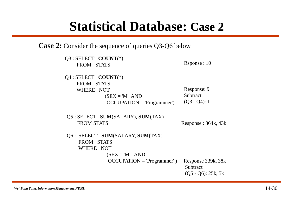#### **Statistical Database: Case 2**

**Case 2:** Consider the sequence of queries Q3-Q6 below

| $Q3$ : SELECT COUNT(*)<br>FROM STATS                   | Rsponse : 10                                            |
|--------------------------------------------------------|---------------------------------------------------------|
| $Q4:SELECT \quad COUNT(*)$<br>FROM STATS               |                                                         |
| WHERE NOT                                              | Response: 9                                             |
| $(SEX = 'M' AND$                                       | Subtract                                                |
| $OCCUPATION = 'Programmer')$                           | $(Q3 - Q4): 1$                                          |
| Q5 : SELECT SUM(SALARY), SUM(TAX)<br><b>FROM STATS</b> | Response : $364k$ , $43k$                               |
| Q6 : SELECT SUM(SALARY, SUM(TAX)                       |                                                         |
| FROM STATS                                             |                                                         |
| WHERE NOT                                              |                                                         |
| $(SEX = 'M'$ AND                                       |                                                         |
| $OCCUPATION = 'Programmer')$                           | Response 339k, 38k<br>Subtract<br>$(Q5 - Q6)$ : 25k, 5k |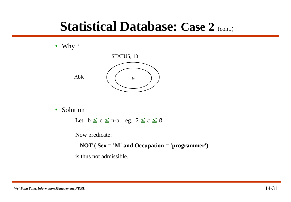#### **Statistical Database: Case 2 (cont.)**

• Why ?



• Solution

Let  $b \leq c \leq n-b$  eg.  $2 \leq c \leq 8$ 

Now predicate:

**NOT ( Sex = 'M' and Occupation = 'programmer')**

is thus not admissible.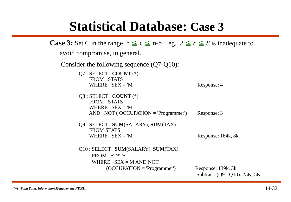#### **Statistical Database: Case 3**

```
Case 3: Set C in the range b \le c \le n-b eg. 2 \le c \le 8 is inadequate to
   avoid compromise, in general. 
   Consider the following sequence (Q7-Q10):
         Q7 : SELECT COUNT (*)
             FROM STATS
             WHERE SEX = 'M' Response: 4
         Q8 : SELECT COUNT (*)
             FROM STATS
             WHERE SEX = 'M'AND NOT ( OCCUPATION = 'Programmer') Response: 3
         Q9 : SELECT SUM(SALARY), SUM(TAX)
             FROM STATS
             WHERE SEX = 'M' Response: 164k, 8k
         Q10 : SELECT SUM(SALARY), SUM(TAX)
              FROM STATS
              WHERE SEX = M AND NOT
                  (OCCUPATHION = 'Programmer') Response: 139k, 3k
                                                 Subtract: (Q9 - Q10): 25K, 5K
```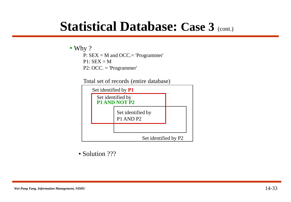#### **Statistical Database: Case 3 (cont.)**

#### • Why ?

P: SEX = M and OCC.= 'Programmer'  $P1: SEX = M$ P2: OCC. = 'Programmer'

Total set of records (entire database)



• Solution ???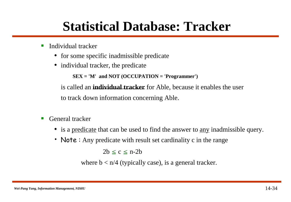### **Statistical Database: Tracker**

- $\blacksquare$  Individual tracker
	- for some specific inadmissible predicate
	- individual tracker, the predicate

**SEX = 'M' and NOT (OCCUPATION = 'Programmer')**

is called an **individual tracker** for Able, because it enables the user to track down information concerning Able.

- General tracker
	- is a predicate that can be used to find the answer to <u>any</u> inadmissible query.
	- Note : Any predicate with result set cardinality c in the range

 $2b \leq c \leq n-2b$ 

where  $b < n/4$  (typically case), is a general tracker.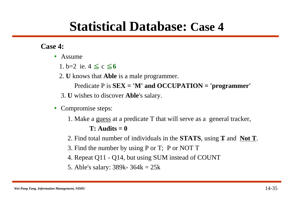#### **Statistical Database: Case 4**

#### **Case 4:**

- Assume
	- 1.  $b=2$  ie.  $4 \leq c \leq 6$
	- 2. **U** knows that **Able** is a male programmer.
		- Predicate P is **SEX = 'M' and OCCUPATION = 'programmer'**
	- 3. **U** wishes to discover **Able**'s salary.
- Compromise steps:
	- 1. Make a guess at a predicate T that will serve as a general tracker,  $T:$  Audits  $= 0$
	- 2. Find total number of individuals in the **STATS**, using **T** and **Not T**.
	- 3. Find the number by using P or T; P or NOT T
	- 4. Repeat Q11 Q14, but using SUM instead of COUNT
	- 5. Able's salary: 389k- 364k = 25k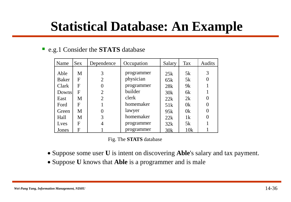#### **Statistical Database: An Example**

#### e.g.1 Consider the **STATS** database

| Name   | <b>Sex</b>   | Dependence     | Occupation | Salary | <b>Tax</b>     | <b>Audits</b> |
|--------|--------------|----------------|------------|--------|----------------|---------------|
|        |              |                |            |        |                |               |
| Able   | M            | 3              | programmer | 25k    | 5k             | 3             |
| Baker  | F            | $\overline{2}$ | physician  | 65k    | 5k             |               |
| Clark  | F            | 0              | programmer | 28k    | 9k             |               |
| Downsl | $\mathbf{F}$ | 2              | builder    | 30k    | 6k             |               |
| East   | M            | $\overline{2}$ | clerk      | 22k    | 2k             |               |
| Ford   | F            |                | homemaker  | 51k    | 0 <sup>k</sup> |               |
| Green  | M            |                | lawyer     | 95k    | 0 <sup>k</sup> |               |
| Hall   | M            | 3              | homemaker  | 22k    | 1k             |               |
| Lyes   | F            |                | programmer | 32k    | 5k             |               |
| Jones  | F            |                | programmer | 30k    | 10k            |               |

#### Fig. The **STATS** database

- Suppose some user **U** is intent on discovering **Able**'s salary and tax payment.
- Suppose **U** knows that **Able** is a programmer and is male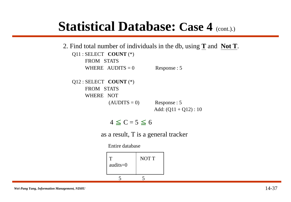#### **Statistical Database: Case 4 (cont.).)**

 $4 \le C = 5 \le 6$ Q11 : SELECT **COUNT** (\*) FROM STATS WHERE AUDITS =  $0$  Response : 5 Q12 : SELECT **COUNT** (\*) FROM STATS WHERE NOT  $(AUDITS = 0)$  Response : 5 Add:  $(Q11 + Q12)$ : 10 2. Find total number of individuals in the db, using **T** and **Not T**.

as a result, T is a general tracker

Entire database

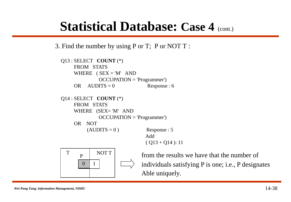#### **Statistical Database: Case 4 (cont.)**

3. Find the number by using P or T; P or NOT T :

```
Q13 : SELECT COUNT (*)
    FROM STATS
    WHERE (SEX = 'M' AND
            OCCUPATION = 'Programmer')
    OR AUDITS = 0 Response : 6
Q14 : SELECT COUNT (*)
    FROM STATS
    WHERE (SEX= 'M' AND
            OCCUPATION = 'Programmer')
    OR NOT 
        (AUDITS = 0) Response : 5
                            Add 
                             (Q13 + Q14): 11
 T
      P
       0
            NOT T
           1
```
from the results we have that the number of individuals satisfying P is one; i.e., P designates Able uniquely.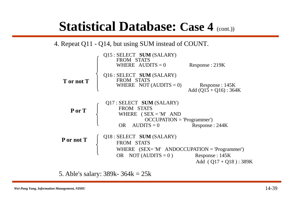#### **Statistical Database: Case 4 (cont.))**

4. Repeat Q11 - Q14, but using SUM instead of COUNT.

|            | Q15 : SELECT SUM (SALARY)<br>FROM STATS<br>WHERE AUDITS $= 0$                                                            | Response : 219K                             |
|------------|--------------------------------------------------------------------------------------------------------------------------|---------------------------------------------|
| T or not T | Q16 : SELECT SUM (SALARY)<br>FROM STATS<br>WHERE NOT $(AUDITS = 0)$                                                      | Response: 145K<br>Add $(Q15 + Q16)$ : 364K  |
| P or T     | Q17 : SELECT SUM (SALARY)<br>FROM STATS<br>WHERE $(SEX = 'M' AND$<br>$OCCUPATION = 'Programmer')$<br>$AUDITS = 0$<br>OR. | Response: 244K                              |
| P or not T | Q18 : SELECT SUM (SALARY)<br>FROM STATS<br>WHERE $(SEX = 'M' ANDOCCUPATION = 'Programmer')$<br>OR NOT (AUDITS = $0$ )    | Response : 145K<br>Add $(Q17 + Q18)$ : 389K |

5. Able's salary: 389k- 364k = 25k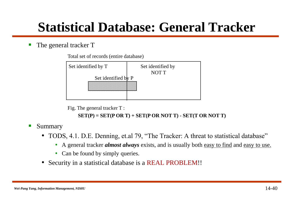#### **Statistical Database: General Tracker**

#### The general tracker T

Total set of records (entire database)



Fig. The general tracker T :

**SET(P) = SET(P OR T) + SET(P OR NOT T) - SET(T OR NOT T)**

- **Summary** 
	- TODS, 4.1. D.E. Denning, et.al 79, "The Tracker: A threat to statistical database"
		- A general tracker *almost always* exists, and is usually both easy to find and easy to use.
		- Can be found by simply queries.
	- Security in a statistical database is a REAL PROBLEM!!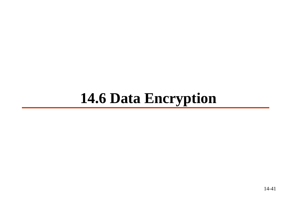### <span id="page-40-0"></span>**14.6 Data Encryption**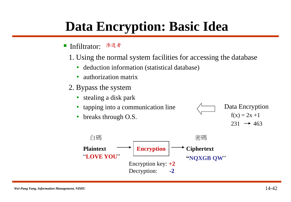### **Data Encryption: Basic Idea**

- Infiltrator: 滲透者
	- 1. Using the normal system facilities for accessing the database
		- deduction information (statistical database)
		- authorization matrix
	- 2. Bypass the system
		- stealing a disk park
		- tapping into a communication line
		- breaks through O.S.



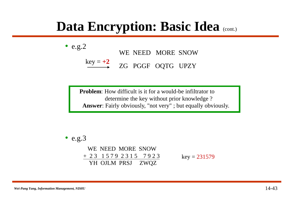#### **Data Encryption: Basic Idea** (cont.)

• e.g.2  
\nWE NEED MORE SNOW  
\n
$$
\xrightarrow{\text{key} = +2}
$$
\nZG PGGF OQTG UPZY

**Problem:** How difficult is it for a would-be infiltrator to determine the key without prior knowledge ? **Answer**: Fairly obviously, "not very" ; but equally obviously.

$$
\bullet \ \text{e.g.3}
$$

WE NEED MORE SNOW + 2 3 1 5 7 9 2 3 1 5 7 9 2 3 YH OJLM PRSJ ZWQZ  $key = 231579$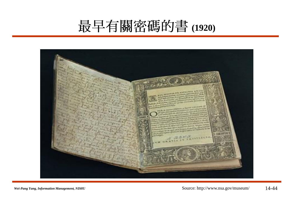### 最早有關密碼的書(1920)

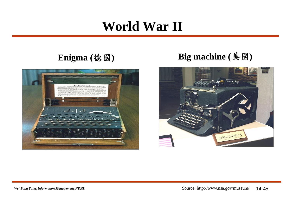### **World War II**



#### Enigma (徳國) **Big machine** (美國)

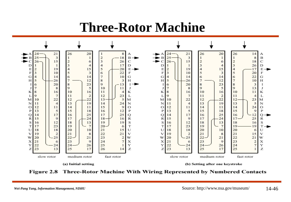#### **Three-Rotor Machine**



Figure 2.8 Three-Rotor Machine With Wiring Represented by Numbered Contacts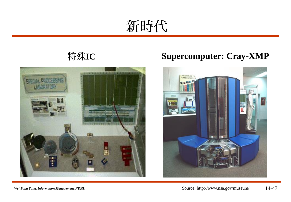新時代



#### 特殊IC **Supercomputer: Cray-XMP**



*Wei-Pang Yang, Information Management, NDHU*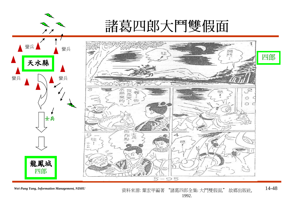

*Wei-Pang Yang, Information Management, NDHU*

資料來源: 葉宏甲編著 "諸葛四郎全集: 大鬥雙假面," 故鄉出版社, 1992. 14-48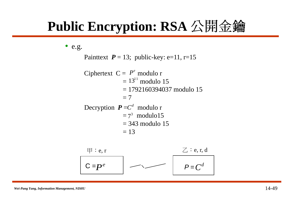### Public Encryption: RSA 公開金鑰

• e.g. Painttext  $P = 13$ ; public-key: e=11, r=15 Ciphertext  $C = P^e$  modulo r  $= 13^{11}$  modulo 15  $= 1792160394037$  modulo 15  $= 7$ Decryption  $P = C<sup>d</sup>$  modulo r  $= 7<sup>3</sup>$  modulo15  $= 343$  modulo 15  $= 13$  $C = P<sup>e</sup>$  |  $\longrightarrow$  |  $P =$  $P^e$   $\longrightarrow$   $P=C^d$  $\boxplus$  : e, r, d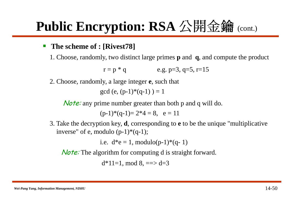### **Public Encryption: RSA 公開金鑰 (cont.)**

#### **The scheme of : [Rivest78]**

1. Choose, randomly, two distinct large primes **p** and **q**, and compute the product

$$
r = p * q
$$
 e.g. p=3, q=5, r=15

2. Choose, randomly, a large integer **e**, such that

gcd (e,  $(p-1)*(q-1) = 1$ 

**Note:** any prime number greater than both p and q will do.

 $(p-1)*(q-1)=2*4=8, e=11$ 

3. Take the decryption key, **d**, corresponding to **e** to be the unique "multiplicative inverse" of e, modulo  $(p-1)*(q-1)$ ;

i.e.  $d^*e = 1$ , modulo(p-1)\*(q-1)

**Note:** The algorithm for computing d is straight forward.

 $d*11=1$ , mod 8, ==> d=3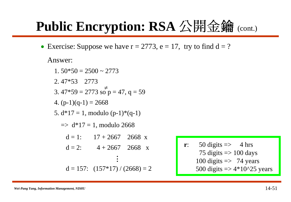### **Public Encryption: RSA 公開金鑰 (cont.)**

• Exercise: Suppose we have  $r = 2773$ ,  $e = 17$ , try to find  $d = ?$ 

Answer:

 $1.50*50 = 2500 \approx 2773$ 2. 47\*53 2773 3.  $47*59 = 2773$  so  $p = 47$ ,  $q = 59$ 4.  $(p-1)(q-1) = 2668$ 5.  $d*17 = 1$ , modulo  $(p-1)*(q-1)$  $\Rightarrow$  d\*17 = 1, modulo 2668  $d = 1$ :  $17 + 2667$  2668 x  $d = 2$ :  $4 + 2667$  2668 x  $d = 157$ :  $(157*17)/(2668) = 2$ **. . .**  $\neq$ 

**r**:  $50 \text{ digits} \implies 4 \text{ hrs}$ 75 digits  $\Rightarrow$  100 days 100 digits  $\Rightarrow$  74 years 500 digits  $\Rightarrow$  4\*10^25 years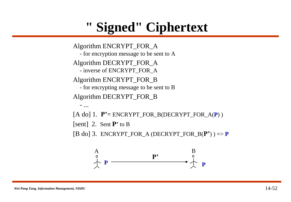### **" Signed" Ciphertext**

Algorithm ENCRYPT\_FOR\_A - for encryption message to be sent to A Algorithm DECRYPT\_FOR\_A - inverse of ENCRYPT\_FOR\_A Algorithm ENCRYPT\_FOR\_B - for encrypting message to be sent to B Algorithm DECRYPT\_FOR\_B - ...  $[A \text{ do}]$  1.  $P'$  = ENCRYPT\_FOR\_B(DECRYPT\_FOR\_A(P)) [sent] 2. Sent **P'** to B  $[B \text{ do}]$  3. ENCRYPT\_FOR\_A (DECRYPT\_FOR\_B( $P'$ )) => **P**